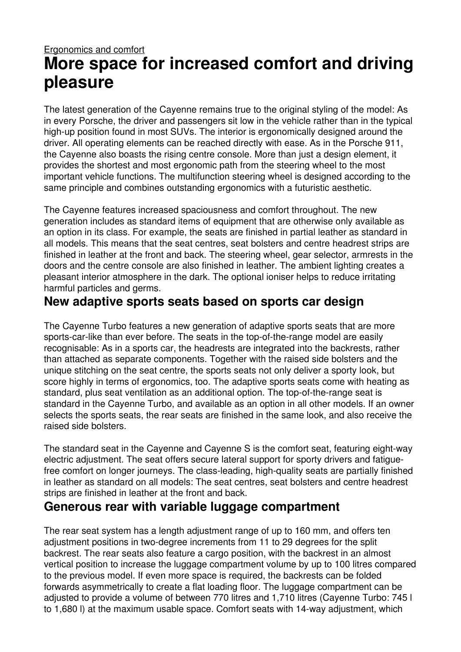# Ergonomics and comfort **More space for increased comfort and driving pleasure**

The latest generation of the Cayenne remains true to the original styling of the model: As in every Porsche, the driver and passengers sit low in the vehicle rather than in the typical high-up position found in most SUVs. The interior is ergonomically designed around the driver. All operating elements can be reached directly with ease. As in the Porsche 911, the Cayenne also boasts the rising centre console. More than just a design element, it provides the shortest and most ergonomic path from the steering wheel to the most important vehicle functions. The multifunction steering wheel is designed according to the same principle and combines outstanding ergonomics with a futuristic aesthetic.

The Cayenne features increased spaciousness and comfort throughout. The new generation includes as standard items of equipment that are otherwise only available as an option in its class. For example, the seats are finished in partial leather as standard in all models. This means that the seat centres, seat bolsters and centre headrest strips are finished in leather at the front and back. The steering wheel, gear selector, armrests in the doors and the centre console are also finished in leather. The ambient lighting creates a pleasant interior atmosphere in the dark. The optional ioniser helps to reduce irritating harmful particles and germs.

#### **New adaptive sports seats based on sports car design**

The Cayenne Turbo features a new generation of adaptive sports seats that are more sports-car-like than ever before. The seats in the top-of-the-range model are easily recognisable: As in a sports car, the headrests are integrated into the backrests, rather than attached as separate components. Together with the raised side bolsters and the unique stitching on the seat centre, the sports seats not only deliver a sporty look, but score highly in terms of ergonomics, too. The adaptive sports seats come with heating as standard, plus seat ventilation as an additional option. The top-of-the-range seat is standard in the Cayenne Turbo, and available as an option in all other models. If an owner selects the sports seats, the rear seats are finished in the same look, and also receive the raised side bolsters.

The standard seat in the Cayenne and Cayenne S is the comfort seat, featuring eight-way electric adjustment. The seat offers secure lateral support for sporty drivers and fatiguefree comfort on longer journeys. The class-leading, high-quality seats are partially finished in leather as standard on all models: The seat centres, seat bolsters and centre headrest strips are finished in leather at the front and back.

#### **Generous rear with variable luggage compartment**

The rear seat system has a length adjustment range of up to 160 mm, and offers ten adjustment positions in two-degree increments from 11 to 29 degrees for the split backrest. The rear seats also feature a cargo position, with the backrest in an almost vertical position to increase the luggage compartment volume by up to 100 litres compared to the previous model. If even more space is required, the backrests can be folded forwards asymmetrically to create a flat loading floor. The luggage compartment can be adjusted to provide a volume of between 770 litres and 1,710 litres (Cayenne Turbo: 745 l to 1,680 l) at the maximum usable space. Comfort seats with 14-way adjustment, which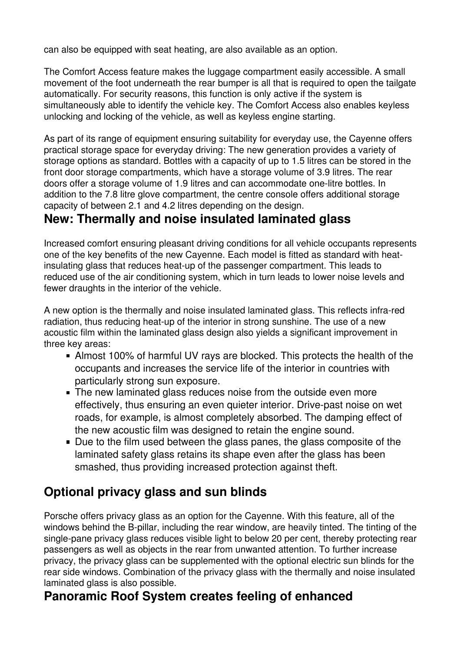can also be equipped with seat heating, are also available as an option.

The Comfort Access feature makes the luggage compartment easily accessible. A small movement of the foot underneath the rear bumper is all that is required to open the tailgate automatically. For security reasons, this function is only active if the system is simultaneously able to identify the vehicle key. The Comfort Access also enables keyless unlocking and locking of the vehicle, as well as keyless engine starting.

As part of its range of equipment ensuring suitability for everyday use, the Cayenne offers practical storage space for everyday driving: The new generation provides a variety of storage options as standard. Bottles with a capacity of up to 1.5 litres can be stored in the front door storage compartments, which have a storage volume of 3.9 litres. The rear doors offer a storage volume of 1.9 litres and can accommodate one-litre bottles. In addition to the 7.8 litre glove compartment, the centre console offers additional storage capacity of between 2.1 and 4.2 litres depending on the design.

### **New: Thermally and noise insulated laminated glass**

Increased comfort ensuring pleasant driving conditions for all vehicle occupants represents one of the key benefits of the new Cayenne. Each model is fitted as standard with heatinsulating glass that reduces heat-up of the passenger compartment. This leads to reduced use of the air conditioning system, which in turn leads to lower noise levels and fewer draughts in the interior of the vehicle.

A new option is the thermally and noise insulated laminated glass. This reflects infra-red radiation, thus reducing heat-up of the interior in strong sunshine. The use of a new acoustic film within the laminated glass design also yields a significant improvement in three key areas:

- Almost 100% of harmful UV rays are blocked. This protects the health of the occupants and increases the service life of the interior in countries with particularly strong sun exposure.
- **The new laminated glass reduces noise from the outside even more** effectively, thus ensuring an even quieter interior. Drive-past noise on wet roads, for example, is almost completely absorbed. The damping effect of the new acoustic film was designed to retain the engine sound.
- Due to the film used between the glass panes, the glass composite of the laminated safety glass retains its shape even after the glass has been smashed, thus providing increased protection against theft.

## **Optional privacy glass and sun blinds**

Porsche offers privacy glass as an option for the Cayenne. With this feature, all of the windows behind the B-pillar, including the rear window, are heavily tinted. The tinting of the single-pane privacy glass reduces visible light to below 20 per cent, thereby protecting rear passengers as well as objects in the rear from unwanted attention. To further increase privacy, the privacy glass can be supplemented with the optional electric sun blinds for the rear side windows. Combination of the privacy glass with the thermally and noise insulated laminated glass is also possible.

## **Panoramic Roof System creates feeling of enhanced**